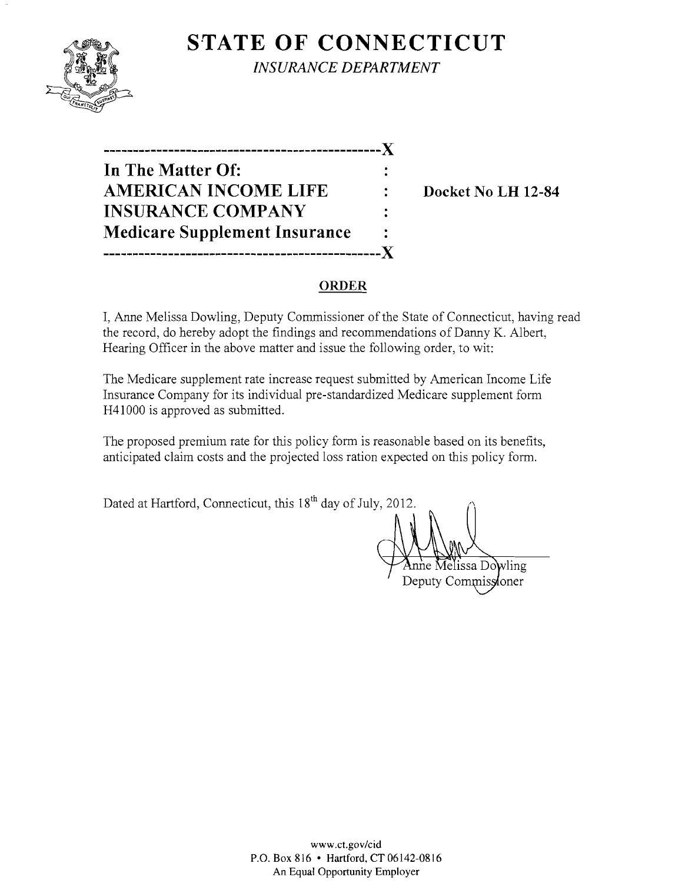

**S'TATE OF CONNECTICUT** *INSURANCE DEPARTMENT* 

**-----------------------------------------------J( In The Matter Of: AMERICAN INCOME LIFE : Docket No LH 12-84 INSURANCE COMPANY Medicare Supplement Insurance -----------------------------------------------J(** 

## **ORDER**

I, Anne Melissa Dowling, Deputy Commissioner of the State of Connecticut, having read the record, do hereby adopt the findings and recommendations of Danny K. Albert, Hearing Officer in the above matter and issue the following order, to wit:

The Medicare supplement rate increase request submitted by American Income Life Insurance Company for its individual pre-standardized Medicare supplement form H41000 is approved as submitted.

The proposed premium rate for this policy form is reasonable based on its benefits, anticipated claim costs and the projected loss ration expected on this policy form.

Dated at Hartford, Connecticut, this  $18<sup>th</sup>$  day of July, 2012.

lissa Dowling

Deputy Commissioner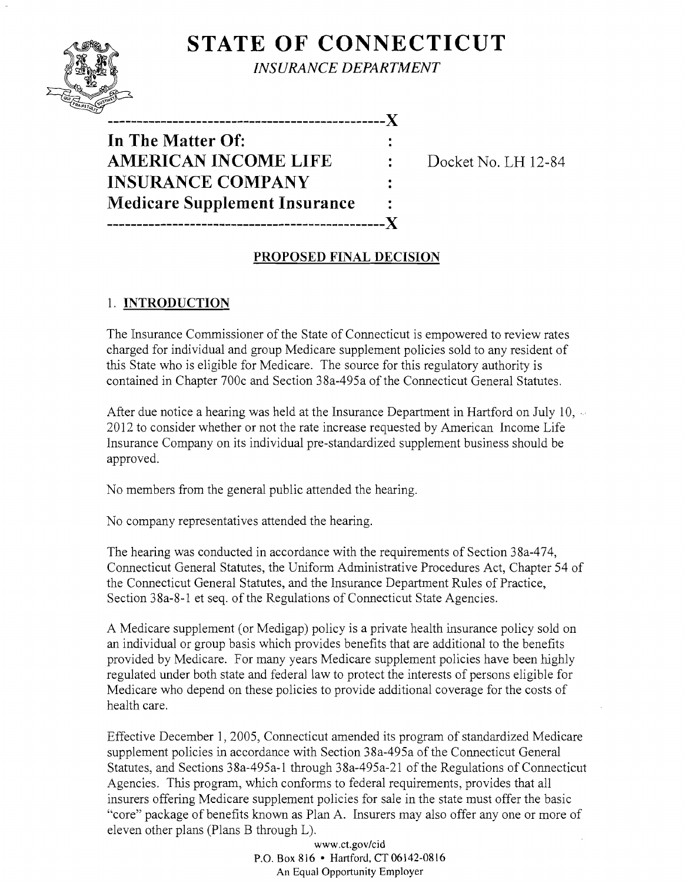# **STATE OF CONNECTICUT**



*INSURANCE DEPARTMENT* 

| . _ _ _ _ _ _ _ _ _ _ _ _ _ _        |  |
|--------------------------------------|--|
| In The Matter Of:                    |  |
| <b>AMERICAN INCOME LIFE</b>          |  |
| <b>INSURANCE COMPANY</b>             |  |
| <b>Medicare Supplement Insurance</b> |  |
| ,,,,,,,,,,,,,,,,,,,,,,,,,,           |  |

**Docket No. LH 12-84** 

### **PROPOSED FINAL DECISION**

### 1. **INTRODUCTION**

The Insurance Commissioner of the State of Connecticut is empowered to review rates charged for individual and group Medicare supplement policies sold to any resident of this State who is eligible for Medicare. The source for this regulatory authority is contained in Chapter 700c and Section 38a-495a of the Connecticut General Statutes.

After due notice a hearing was held at the Insurance Department in Hartford on July 10,  $\sim$ 2012 to consider whether or not the rate increase requested by American Income Life Insurance Company on its individual pre-standardized supplement business should be approved.

No members from the general public attended the hearing.

No company representatives attended the hearing.

The hearing was conducted in accordance with the requirements of Section 38a-474, Connecticut General Statutes, the Uniform Administrative Procedures Act, Chapter 54 of the Connecticut General Statutes, and the Insurance Department Rules of Practice, Section 38a-8-1 et seq. of the Regulations of Connecticut State Agencies.

A Medicare supplement (or Medigap) policy is a private health insurance policy sold on an individual or group basis which provides benefits that are additional to the benefits provided by Medicare. For many years Medicare supplement policies have been highly regulated under both state and federal law to protect the interests of persons eligible for Medicare who depend on these policies to provide additional coverage for the costs of health care.

Effective December 1, 2005, Connecticut amended its program of standardized Medicare supplement policies in accordance with Section 38a-495a of the Connecticut General Statutes, and Sections 38a-495a-1 through 38a-495a-21 of the Regulations of Connecticut Agencies. This program, which conforms to federal requirements, provides that all insurers offering Medicare supplement policies for sale in the state must offer the basic "core" package of benefits known as Plan A. Insurers may also offer anyone or more of eleven other plans (Plans B through L).

> www.ct.gov/cid P.O. Box 816 • Hartford, CT 06142-0816 An Equal Opportunity Employer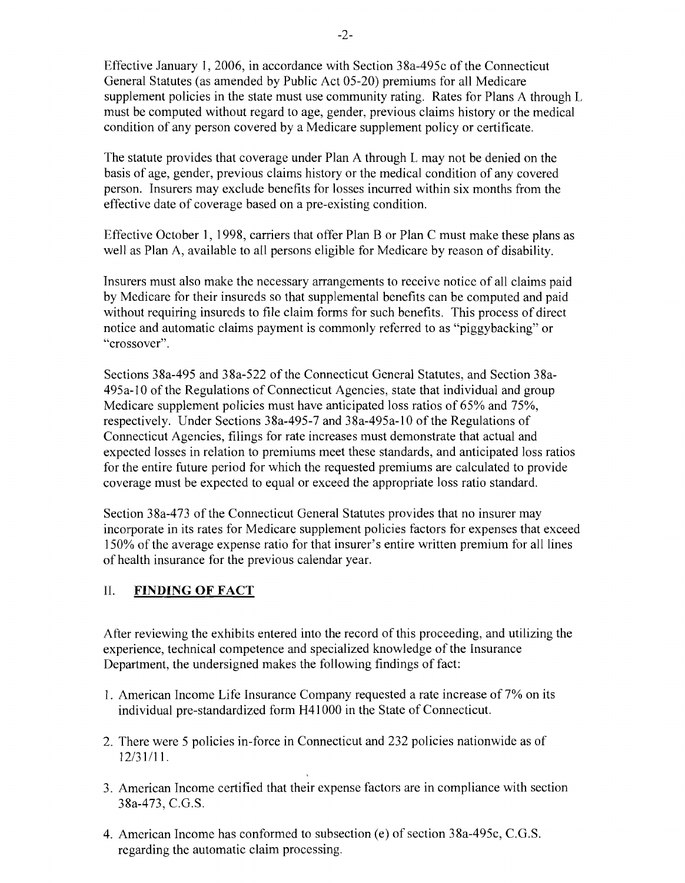Effective January 1,2006, in accordance with Section 38a-495c ofthe Connecticut General Statutes (as amended by Public Act 05-20) premiums for all Medicare supplement policies in the state must use community rating. Rates for Plans A through L must be computed without regard to age, gender, previous claims history or the medical condition of any person covered by a Medicare supplement policy or certificate.

The statute provides that coverage under Plan A through L may not be denied on the basis of age, gender, previous claims history or the medical condition of any covered person. Insurers may exclude benefits for losses incurred within six months from the effective date of coverage based on a pre-existing condition.

Effective October I, 1998, carriers that offer Plan B or Plan C must make these plans as well as Plan A, available to all persons eligible for Medicare by reason of disability.

Insurers must also make the necessary arrangements to receive notice of all claims paid by Medicare for their insureds so that supplemental benefits can be computed and paid without requiring insureds to file claim forms for such benefits. This process of direct notice and automatic claims payment is commonly referred to as "piggybacking" or "crossover".

Sections 38a-495 and 38a-522 of the Connecticut General Statutes, and Section 38a-495a-IO ofthe Regulations of Connecticut Agencies, state that individual and group Medicare supplement policies must have anticipated loss ratios of 65% and 75%, respectively. Under Sections 38a-495-7 and 38a-495a-10 of the Regulations of Connecticut Agencies, filings for rate increases must demonstrate that actual and expected losses in relation to premiums meet these standards, and anticipated loss ratios for the entire future period for which the requested premiums are calculated to provide coverage must be expected to equal or exceed the appropriate loss ratio standard.

Section 38a-473 of the Connecticut General Statutes provides that no insurer may incorporate in its rates for Medicare supplement policies factors for expenses that exceed 150% of the average expense ratio for that insurer's entire written premium for all lines of health insurance for the previous calendar year.

#### II. **FINDING OF FACT**

After reviewing the exhibits entered into the record of this proceeding, and utilizing the experience, technical competence and specialized knowledge of the Insurance Department, the undersigned makes the following findings of fact:

- 1. American Income Life Insurance Company requested a rate increase of 7% on its individual pre-standardized form H41 000 in the State of Connecticut.
- 2. There were 5 policies in-force in Connecticut and 232 policies nationwide as of 12/31/11.
- 3. American Income certified that their expense factors are in compliance with section 38a-473, C.G.S.
- 4. American Income has conformed to subsection (e) of section 38a-495c, C.G.S. regarding the automatic claim processing.